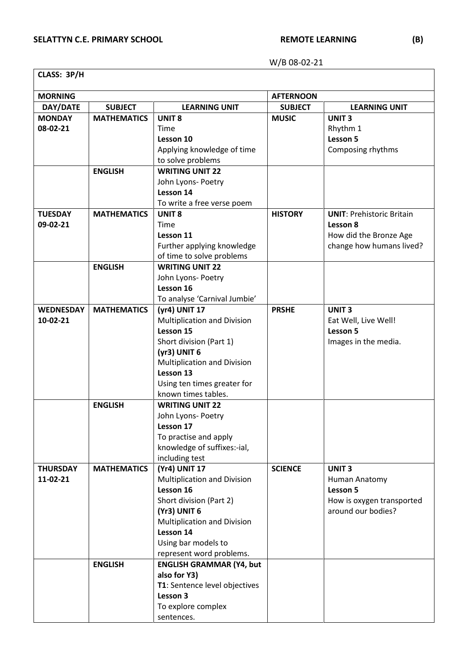| CLASS: 3P/H |  |
|-------------|--|
|-------------|--|

 $\overline{\phantom{a}}$ 

| <b>MORNING</b>   |                    |                                                     | <b>AFTERNOON</b> |                                  |
|------------------|--------------------|-----------------------------------------------------|------------------|----------------------------------|
| DAY/DATE         | <b>SUBJECT</b>     | <b>LEARNING UNIT</b>                                | <b>SUBJECT</b>   | <b>LEARNING UNIT</b>             |
| <b>MONDAY</b>    | <b>MATHEMATICS</b> | <b>UNIT 8</b>                                       | <b>MUSIC</b>     | <b>UNIT3</b>                     |
| 08-02-21         |                    | Time                                                |                  | Rhythm 1                         |
|                  |                    | Lesson 10                                           |                  | Lesson 5                         |
|                  |                    | Applying knowledge of time                          |                  | Composing rhythms                |
|                  |                    | to solve problems                                   |                  |                                  |
|                  | <b>ENGLISH</b>     | <b>WRITING UNIT 22</b>                              |                  |                                  |
|                  |                    | John Lyons- Poetry                                  |                  |                                  |
|                  |                    | Lesson 14                                           |                  |                                  |
|                  | <b>MATHEMATICS</b> | To write a free verse poem                          |                  |                                  |
| <b>TUESDAY</b>   |                    | <b>UNIT 8</b>                                       | <b>HISTORY</b>   | <b>UNIT: Prehistoric Britain</b> |
| 09-02-21         |                    | Time                                                |                  | Lesson 8                         |
|                  |                    | Lesson 11                                           |                  | How did the Bronze Age           |
|                  |                    | Further applying knowledge                          |                  | change how humans lived?         |
|                  |                    | of time to solve problems<br><b>WRITING UNIT 22</b> |                  |                                  |
|                  | <b>ENGLISH</b>     |                                                     |                  |                                  |
|                  |                    | John Lyons- Poetry<br>Lesson 16                     |                  |                                  |
|                  |                    |                                                     |                  |                                  |
| <b>WEDNESDAY</b> | <b>MATHEMATICS</b> | To analyse 'Carnival Jumbie'<br>(yr4) UNIT 17       | <b>PRSHE</b>     | <b>UNIT3</b>                     |
| 10-02-21         |                    | <b>Multiplication and Division</b>                  |                  | Eat Well, Live Well!             |
|                  |                    | Lesson 15                                           |                  | Lesson 5                         |
|                  |                    | Short division (Part 1)                             |                  | Images in the media.             |
|                  |                    | $(yr3)$ UNIT $6$                                    |                  |                                  |
|                  |                    | <b>Multiplication and Division</b>                  |                  |                                  |
|                  |                    | Lesson 13                                           |                  |                                  |
|                  |                    | Using ten times greater for                         |                  |                                  |
|                  |                    | known times tables.                                 |                  |                                  |
|                  | <b>ENGLISH</b>     | <b>WRITING UNIT 22</b>                              |                  |                                  |
|                  |                    | John Lyons- Poetry                                  |                  |                                  |
|                  |                    | Lesson 17                                           |                  |                                  |
|                  |                    | To practise and apply                               |                  |                                  |
|                  |                    | knowledge of suffixes:-ial,                         |                  |                                  |
|                  |                    | including test                                      |                  |                                  |
| <b>THURSDAY</b>  | <b>MATHEMATICS</b> | (Yr4) UNIT 17                                       | <b>SCIENCE</b>   | <b>UNIT3</b>                     |
| 11-02-21         |                    | <b>Multiplication and Division</b>                  |                  | Human Anatomy                    |
|                  |                    | Lesson 16                                           |                  | Lesson 5                         |
|                  |                    | Short division (Part 2)                             |                  | How is oxygen transported        |
|                  |                    | (Yr3) UNIT 6                                        |                  | around our bodies?               |
|                  |                    | Multiplication and Division                         |                  |                                  |
|                  |                    | Lesson 14                                           |                  |                                  |
|                  |                    | Using bar models to                                 |                  |                                  |
|                  |                    | represent word problems.                            |                  |                                  |
|                  | <b>ENGLISH</b>     | <b>ENGLISH GRAMMAR (Y4, but</b>                     |                  |                                  |
|                  |                    | also for Y3)                                        |                  |                                  |
|                  |                    | T1: Sentence level objectives                       |                  |                                  |
|                  |                    | Lesson 3                                            |                  |                                  |
|                  |                    | To explore complex                                  |                  |                                  |
|                  |                    | sentences.                                          |                  |                                  |